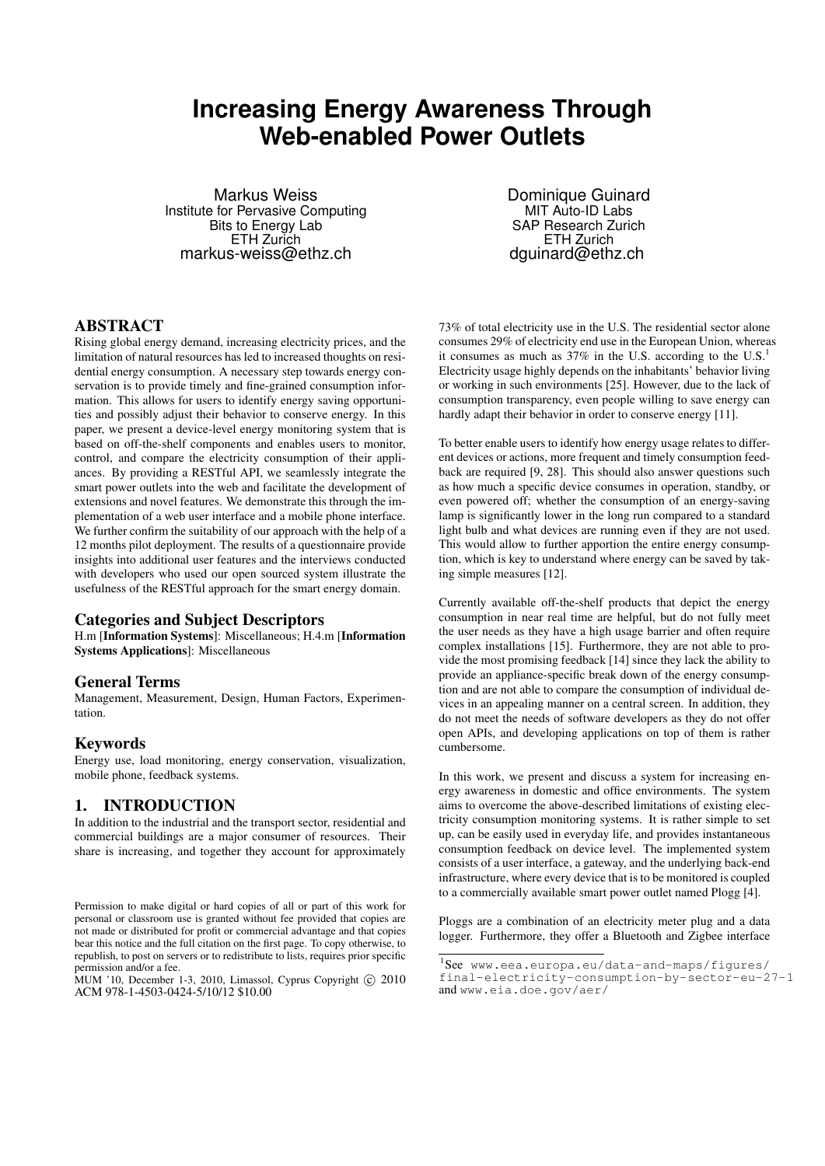# **Increasing Energy Awareness Through Web-enabled Power Outlets**

Markus Weiss Institute for Pervasive Computing Bits to Energy Lab ETH Zurich markus-weiss@ethz.ch

Dominique Guinard MIT Auto-ID Labs SAP Research Zurich ETH Zurich dguinard@ethz.ch

# ABSTRACT

Rising global energy demand, increasing electricity prices, and the limitation of natural resources has led to increased thoughts on residential energy consumption. A necessary step towards energy conservation is to provide timely and fine-grained consumption information. This allows for users to identify energy saving opportunities and possibly adjust their behavior to conserve energy. In this paper, we present a device-level energy monitoring system that is based on off-the-shelf components and enables users to monitor, control, and compare the electricity consumption of their appliances. By providing a RESTful API, we seamlessly integrate the smart power outlets into the web and facilitate the development of extensions and novel features. We demonstrate this through the implementation of a web user interface and a mobile phone interface. We further confirm the suitability of our approach with the help of a 12 months pilot deployment. The results of a questionnaire provide insights into additional user features and the interviews conducted with developers who used our open sourced system illustrate the usefulness of the RESTful approach for the smart energy domain.

### Categories and Subject Descriptors

H.m [Information Systems]: Miscellaneous; H.4.m [Information Systems Applications]: Miscellaneous

#### General Terms

Management, Measurement, Design, Human Factors, Experimentation.

### Keywords

Energy use, load monitoring, energy conservation, visualization, mobile phone, feedback systems.

### 1. INTRODUCTION

In addition to the industrial and the transport sector, residential and commercial buildings are a major consumer of resources. Their share is increasing, and together they account for approximately

MUM '10, December 1-3, 2010, Limassol, Cyprus Copyright © 2010 ACM 978-1-4503-0424-5/10/12 \$10.00

73% of total electricity use in the U.S. The residential sector alone consumes 29% of electricity end use in the European Union, whereas it consumes as much as  $37\%$  in the U.S. according to the U.S.<sup>[1](#page-0-0)</sup> Electricity usage highly depends on the inhabitants' behavior living or working in such environments [\[25\]](#page-8-0). However, due to the lack of consumption transparency, even people willing to save energy can hardly adapt their behavior in order to conserve energy [\[11\]](#page-8-1).

To better enable users to identify how energy usage relates to different devices or actions, more frequent and timely consumption feedback are required [\[9,](#page-8-2) [28\]](#page-8-3). This should also answer questions such as how much a specific device consumes in operation, standby, or even powered off; whether the consumption of an energy-saving lamp is significantly lower in the long run compared to a standard light bulb and what devices are running even if they are not used. This would allow to further apportion the entire energy consumption, which is key to understand where energy can be saved by taking simple measures [\[12\]](#page-8-4).

Currently available off-the-shelf products that depict the energy consumption in near real time are helpful, but do not fully meet the user needs as they have a high usage barrier and often require complex installations [\[15\]](#page-8-5). Furthermore, they are not able to provide the most promising feedback [\[14\]](#page-8-6) since they lack the ability to provide an appliance-specific break down of the energy consumption and are not able to compare the consumption of individual devices in an appealing manner on a central screen. In addition, they do not meet the needs of software developers as they do not offer open APIs, and developing applications on top of them is rather cumbersome.

In this work, we present and discuss a system for increasing energy awareness in domestic and office environments. The system aims to overcome the above-described limitations of existing electricity consumption monitoring systems. It is rather simple to set up, can be easily used in everyday life, and provides instantaneous consumption feedback on device level. The implemented system consists of a user interface, a gateway, and the underlying back-end infrastructure, where every device that is to be monitored is coupled to a commercially available smart power outlet named Plogg [\[4\]](#page-8-7).

Ploggs are a combination of an electricity meter plug and a data logger. Furthermore, they offer a Bluetooth and Zigbee interface

Permission to make digital or hard copies of all or part of this work for personal or classroom use is granted without fee provided that copies are not made or distributed for profit or commercial advantage and that copies bear this notice and the full citation on the first page. To copy otherwise, to republish, to post on servers or to redistribute to lists, requires prior specific permission and/or a fee.

<span id="page-0-0"></span><sup>1</sup> See [www.eea.europa.eu/data-and-maps/figures/](www.eea.europa.eu/data-and-maps/figures/final-electricity-consumption-by-sector-eu- 27-1) [final-electricity-consumption-by-sector-eu-27-1](www.eea.europa.eu/data-and-maps/figures/final-electricity-consumption-by-sector-eu- 27-1) and <www.eia.doe.gov/aer/>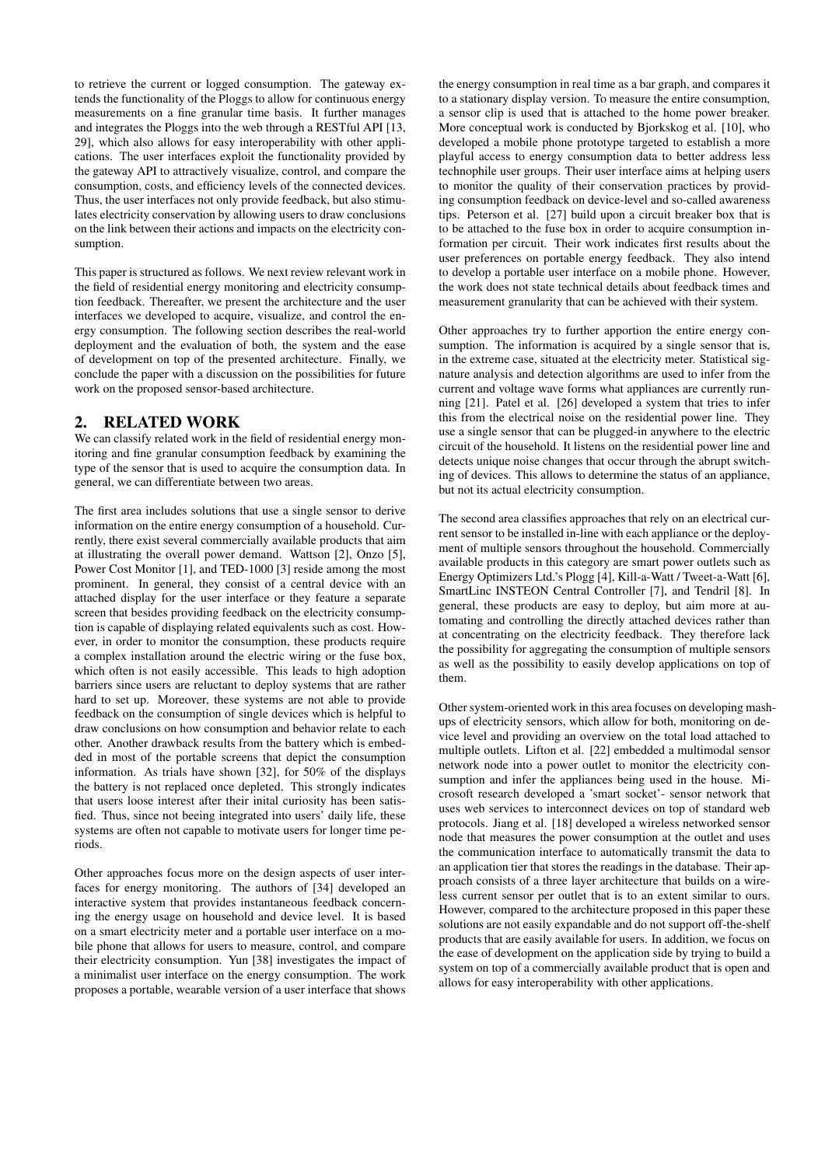to retrieve the current or logged consumption. The gateway extends the functionality of the Ploggs to allow for continuous energy measurements on a fine granular time basis. It further manages and integrates the Ploggs into the web through a RESTful API [\[13,](#page-8-8) [29\]](#page-8-9), which also allows for easy interoperability with other applications. The user interfaces exploit the functionality provided by the gateway API to attractively visualize, control, and compare the consumption, costs, and efficiency levels of the connected devices. Thus, the user interfaces not only provide feedback, but also stimulates electricity conservation by allowing users to draw conclusions on the link between their actions and impacts on the electricity consumption.

This paper is structured as follows. We next review relevant work in the field of residential energy monitoring and electricity consumption feedback. Thereafter, we present the architecture and the user interfaces we developed to acquire, visualize, and control the energy consumption. The following section describes the real-world deployment and the evaluation of both, the system and the ease of development on top of the presented architecture. Finally, we conclude the paper with a discussion on the possibilities for future work on the proposed sensor-based architecture.

# 2. RELATED WORK

We can classify related work in the field of residential energy monitoring and fine granular consumption feedback by examining the type of the sensor that is used to acquire the consumption data. In general, we can differentiate between two areas.

The first area includes solutions that use a single sensor to derive information on the entire energy consumption of a household. Currently, there exist several commercially available products that aim at illustrating the overall power demand. Wattson [\[2\]](#page-8-10), Onzo [\[5\]](#page-8-11), Power Cost Monitor [\[1\]](#page-8-12), and TED-1000 [\[3\]](#page-8-13) reside among the most prominent. In general, they consist of a central device with an attached display for the user interface or they feature a separate screen that besides providing feedback on the electricity consumption is capable of displaying related equivalents such as cost. However, in order to monitor the consumption, these products require a complex installation around the electric wiring or the fuse box, which often is not easily accessible. This leads to high adoption barriers since users are reluctant to deploy systems that are rather hard to set up. Moreover, these systems are not able to provide feedback on the consumption of single devices which is helpful to draw conclusions on how consumption and behavior relate to each other. Another drawback results from the battery which is embedded in most of the portable screens that depict the consumption information. As trials have shown [\[32\]](#page-9-0), for 50% of the displays the battery is not replaced once depleted. This strongly indicates that users loose interest after their inital curiosity has been satisfied. Thus, since not beeing integrated into users' daily life, these systems are often not capable to motivate users for longer time periods.

Other approaches focus more on the design aspects of user interfaces for energy monitoring. The authors of [\[34\]](#page-9-1) developed an interactive system that provides instantaneous feedback concerning the energy usage on household and device level. It is based on a smart electricity meter and a portable user interface on a mobile phone that allows for users to measure, control, and compare their electricity consumption. Yun [\[38\]](#page-9-2) investigates the impact of a minimalist user interface on the energy consumption. The work proposes a portable, wearable version of a user interface that shows

the energy consumption in real time as a bar graph, and compares it to a stationary display version. To measure the entire consumption, a sensor clip is used that is attached to the home power breaker. More conceptual work is conducted by Bjorkskog et al. [\[10\]](#page-8-14), who developed a mobile phone prototype targeted to establish a more playful access to energy consumption data to better address less technophile user groups. Their user interface aims at helping users to monitor the quality of their conservation practices by providing consumption feedback on device-level and so-called awareness tips. Peterson et al. [\[27\]](#page-8-15) build upon a circuit breaker box that is to be attached to the fuse box in order to acquire consumption information per circuit. Their work indicates first results about the user preferences on portable energy feedback. They also intend to develop a portable user interface on a mobile phone. However, the work does not state technical details about feedback times and measurement granularity that can be achieved with their system.

Other approaches try to further apportion the entire energy consumption. The information is acquired by a single sensor that is, in the extreme case, situated at the electricity meter. Statistical signature analysis and detection algorithms are used to infer from the current and voltage wave forms what appliances are currently running [\[21\]](#page-8-16). Patel et al. [\[26\]](#page-8-17) developed a system that tries to infer this from the electrical noise on the residential power line. They use a single sensor that can be plugged-in anywhere to the electric circuit of the household. It listens on the residential power line and detects unique noise changes that occur through the abrupt switching of devices. This allows to determine the status of an appliance, but not its actual electricity consumption.

The second area classifies approaches that rely on an electrical current sensor to be installed in-line with each appliance or the deployment of multiple sensors throughout the household. Commercially available products in this category are smart power outlets such as Energy Optimizers Ltd.'s Plogg [\[4\]](#page-8-7), Kill-a-Watt / Tweet-a-Watt [\[6\]](#page-8-18), SmartLinc INSTEON Central Controller [\[7\]](#page-8-19), and Tendril [\[8\]](#page-8-20). In general, these products are easy to deploy, but aim more at automating and controlling the directly attached devices rather than at concentrating on the electricity feedback. They therefore lack the possibility for aggregating the consumption of multiple sensors as well as the possibility to easily develop applications on top of them.

Other system-oriented work in this area focuses on developing mashups of electricity sensors, which allow for both, monitoring on device level and providing an overview on the total load attached to multiple outlets. Lifton et al. [\[22\]](#page-8-21) embedded a multimodal sensor network node into a power outlet to monitor the electricity consumption and infer the appliances being used in the house. Microsoft research developed a 'smart socket'- sensor network that uses web services to interconnect devices on top of standard web protocols. Jiang et al. [\[18\]](#page-8-22) developed a wireless networked sensor node that measures the power consumption at the outlet and uses the communication interface to automatically transmit the data to an application tier that stores the readings in the database. Their approach consists of a three layer architecture that builds on a wireless current sensor per outlet that is to an extent similar to ours. However, compared to the architecture proposed in this paper these solutions are not easily expandable and do not support off-the-shelf products that are easily available for users. In addition, we focus on the ease of development on the application side by trying to build a system on top of a commercially available product that is open and allows for easy interoperability with other applications.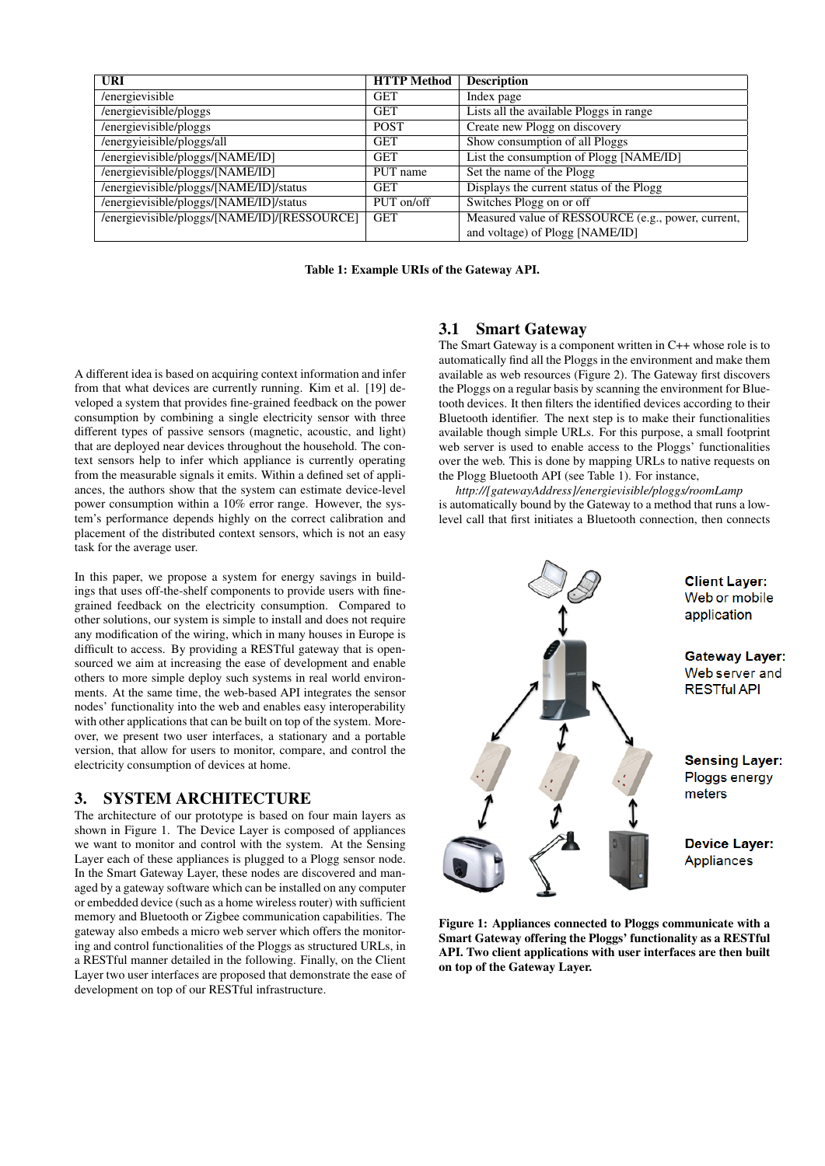| URI                                          | <b>HTTP</b> Method | <b>Description</b>                                 |
|----------------------------------------------|--------------------|----------------------------------------------------|
| /energievisible                              | <b>GET</b>         | Index page                                         |
| /energievisible/ploggs                       | <b>GET</b>         | Lists all the available Ploggs in range            |
| /energievisible/ploggs                       | <b>POST</b>        | Create new Plogg on discovery                      |
| /energyieisible/ploggs/all                   | <b>GET</b>         | Show consumption of all Ploggs                     |
| /energievisible/ploggs/[NAME/ID]             | <b>GET</b>         | List the consumption of Plogg [NAME/ID]            |
| /energievisible/ploggs/[NAME/ID]             | PUT name           | Set the name of the Plogg                          |
| /energievisible/ploggs/[NAME/ID]/status      | <b>GET</b>         | Displays the current status of the Plogg           |
| /energievisible/ploggs/[NAME/ID]/status      | PUT on/off         | Switches Plogg on or off                           |
| /energievisible/ploggs/[NAME/ID]/[RESSOURCE] | <b>GET</b>         | Measured value of RESSOURCE (e.g., power, current, |
|                                              |                    | and voltage) of Plogg [NAME/ID]                    |

<span id="page-2-1"></span>Table 1: Example URIs of the Gateway API.

A different idea is based on acquiring context information and infer from that what devices are currently running. Kim et al. [\[19\]](#page-8-23) developed a system that provides fine-grained feedback on the power consumption by combining a single electricity sensor with three different types of passive sensors (magnetic, acoustic, and light) that are deployed near devices throughout the household. The context sensors help to infer which appliance is currently operating from the measurable signals it emits. Within a defined set of appliances, the authors show that the system can estimate device-level power consumption within a 10% error range. However, the system's performance depends highly on the correct calibration and placement of the distributed context sensors, which is not an easy task for the average user.

In this paper, we propose a system for energy savings in buildings that uses off-the-shelf components to provide users with finegrained feedback on the electricity consumption. Compared to other solutions, our system is simple to install and does not require any modification of the wiring, which in many houses in Europe is difficult to access. By providing a RESTful gateway that is opensourced we aim at increasing the ease of development and enable others to more simple deploy such systems in real world environments. At the same time, the web-based API integrates the sensor nodes' functionality into the web and enables easy interoperability with other applications that can be built on top of the system. Moreover, we present two user interfaces, a stationary and a portable version, that allow for users to monitor, compare, and control the electricity consumption of devices at home.

# 3. SYSTEM ARCHITECTURE

The architecture of our prototype is based on four main layers as shown in Figure [1.](#page-2-0) The Device Layer is composed of appliances we want to monitor and control with the system. At the Sensing Layer each of these appliances is plugged to a Plogg sensor node. In the Smart Gateway Layer, these nodes are discovered and managed by a gateway software which can be installed on any computer or embedded device (such as a home wireless router) with sufficient memory and Bluetooth or Zigbee communication capabilities. The gateway also embeds a micro web server which offers the monitoring and control functionalities of the Ploggs as structured URLs, in a RESTful manner detailed in the following. Finally, on the Client Layer two user interfaces are proposed that demonstrate the ease of development on top of our RESTful infrastructure.

### 3.1 Smart Gateway

The Smart Gateway is a component written in C++ whose role is to automatically find all the Ploggs in the environment and make them available as web resources (Figure [2\)](#page-3-0). The Gateway first discovers the Ploggs on a regular basis by scanning the environment for Bluetooth devices. It then filters the identified devices according to their Bluetooth identifier. The next step is to make their functionalities available though simple URLs. For this purpose, a small footprint web server is used to enable access to the Ploggs' functionalities over the web. This is done by mapping URLs to native requests on the Plogg Bluetooth API (see Table [1\)](#page-2-1). For instance,

*http://[gatewayAddress]/energievisible/ploggs/roomLamp* is automatically bound by the Gateway to a method that runs a lowlevel call that first initiates a Bluetooth connection, then connects

<span id="page-2-0"></span>

Figure 1: Appliances connected to Ploggs communicate with a Smart Gateway offering the Ploggs' functionality as a RESTful API. Two client applications with user interfaces are then built on top of the Gateway Layer.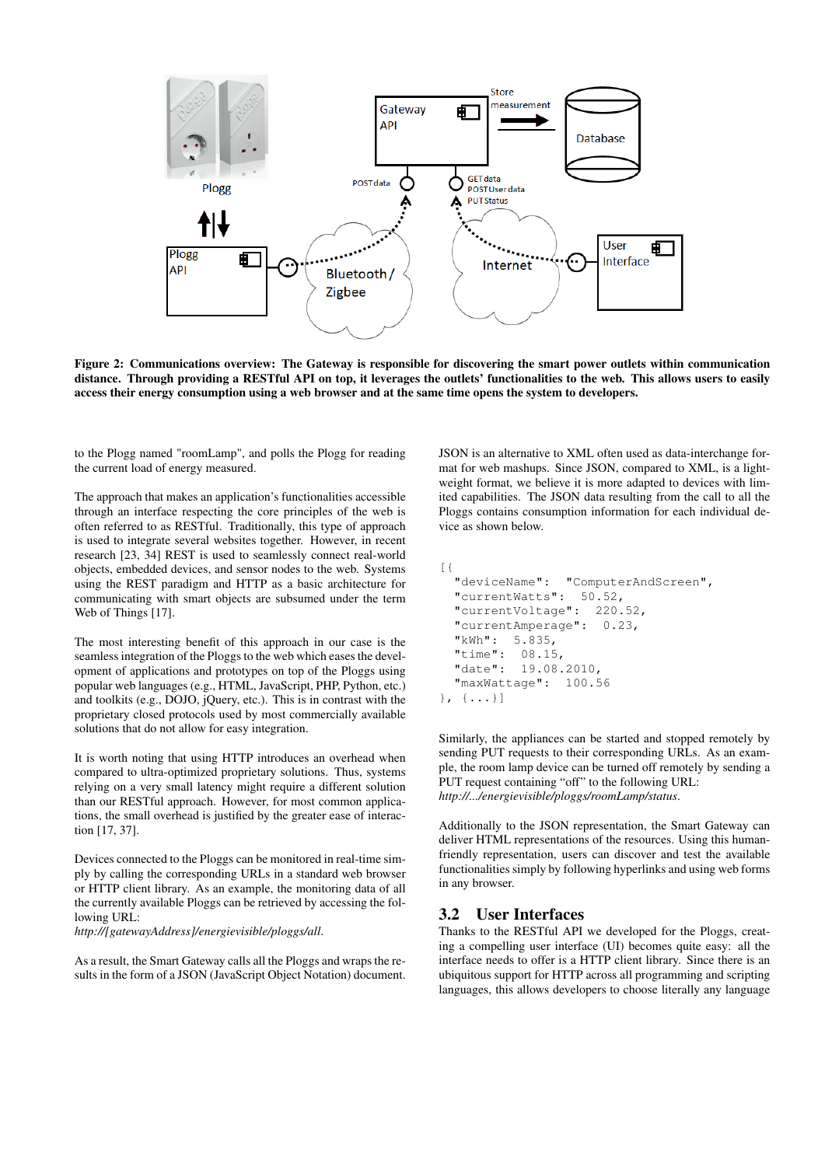

<span id="page-3-0"></span>Figure 2: Communications overview: The Gateway is responsible for discovering the smart power outlets within communication distance. Through providing a RESTful API on top, it leverages the outlets' functionalities to the web. This allows users to easily access their energy consumption using a web browser and at the same time opens the system to developers.

to the Plogg named "roomLamp", and polls the Plogg for reading the current load of energy measured.

The approach that makes an application's functionalities accessible through an interface respecting the core principles of the web is often referred to as RESTful. Traditionally, this type of approach is used to integrate several websites together. However, in recent research [\[23,](#page-8-24) [34\]](#page-9-1) REST is used to seamlessly connect real-world objects, embedded devices, and sensor nodes to the web. Systems using the REST paradigm and HTTP as a basic architecture for communicating with smart objects are subsumed under the term Web of Things [\[17\]](#page-8-25).

The most interesting benefit of this approach in our case is the seamless integration of the Ploggs to the web which eases the development of applications and prototypes on top of the Ploggs using popular web languages (e.g., HTML, JavaScript, PHP, Python, etc.) and toolkits (e.g., DOJO, jQuery, etc.). This is in contrast with the proprietary closed protocols used by most commercially available solutions that do not allow for easy integration.

It is worth noting that using HTTP introduces an overhead when compared to ultra-optimized proprietary solutions. Thus, systems relying on a very small latency might require a different solution than our RESTful approach. However, for most common applications, the small overhead is justified by the greater ease of interaction [\[17,](#page-8-25) [37\]](#page-9-3).

Devices connected to the Ploggs can be monitored in real-time simply by calling the corresponding URLs in a standard web browser or HTTP client library. As an example, the monitoring data of all the currently available Ploggs can be retrieved by accessing the following URL:

*http://[gatewayAddress]/energievisible/ploggs/all*.

As a result, the Smart Gateway calls all the Ploggs and wraps the results in the form of a JSON (JavaScript Object Notation) document. JSON is an alternative to XML often used as data-interchange format for web mashups. Since JSON, compared to XML, is a lightweight format, we believe it is more adapted to devices with limited capabilities. The JSON data resulting from the call to all the Ploggs contains consumption information for each individual device as shown below.

```
[{<br>"deviceName":
                 "ComputerAndScreen",
  "currentWatts": 50.52,
  "currentVoltage": 220.52,
  "currentAmperage": 0.23,
  "kWh": 5.835,
  "time": 08.15,
  "date": 19.08.2010,
  "maxWattage": 100.56
}, {...}]
```
Similarly, the appliances can be started and stopped remotely by sending PUT requests to their corresponding URLs. As an example, the room lamp device can be turned off remotely by sending a PUT request containing "off" to the following URL: *http://.../energievisible/ploggs/roomLamp/status*.

Additionally to the JSON representation, the Smart Gateway can deliver HTML representations of the resources. Using this humanfriendly representation, users can discover and test the available functionalities simply by following hyperlinks and using web forms in any browser.

### 3.2 User Interfaces

Thanks to the RESTful API we developed for the Ploggs, creating a compelling user interface (UI) becomes quite easy: all the interface needs to offer is a HTTP client library. Since there is an ubiquitous support for HTTP across all programming and scripting languages, this allows developers to choose literally any language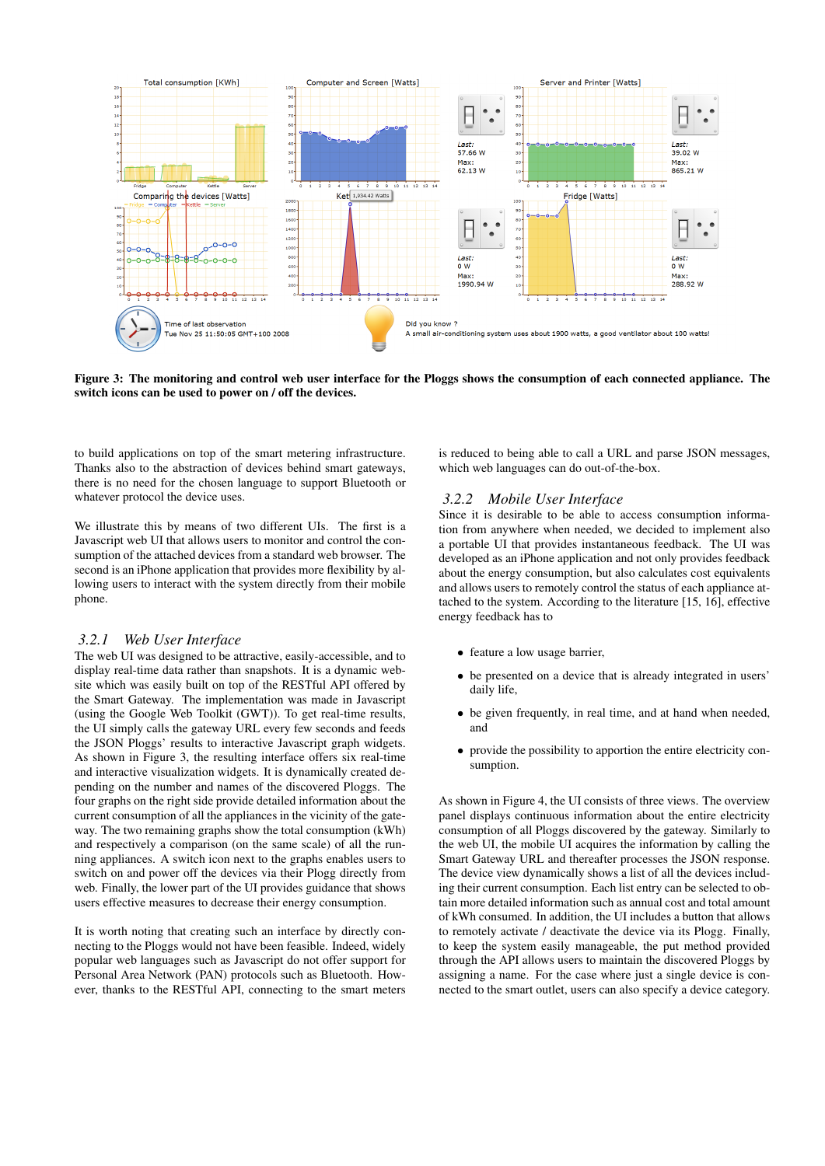

<span id="page-4-0"></span>Figure 3: The monitoring and control web user interface for the Ploggs shows the consumption of each connected appliance. The switch icons can be used to power on / off the devices.

to build applications on top of the smart metering infrastructure. Thanks also to the abstraction of devices behind smart gateways, there is no need for the chosen language to support Bluetooth or whatever protocol the device uses.

We illustrate this by means of two different UIs. The first is a Javascript web UI that allows users to monitor and control the consumption of the attached devices from a standard web browser. The second is an iPhone application that provides more flexibility by allowing users to interact with the system directly from their mobile phone.

#### *3.2.1 Web User Interface*

The web UI was designed to be attractive, easily-accessible, and to display real-time data rather than snapshots. It is a dynamic website which was easily built on top of the RESTful API offered by the Smart Gateway. The implementation was made in Javascript (using the Google Web Toolkit (GWT)). To get real-time results, the UI simply calls the gateway URL every few seconds and feeds the JSON Ploggs' results to interactive Javascript graph widgets. As shown in Figure [3,](#page-4-0) the resulting interface offers six real-time and interactive visualization widgets. It is dynamically created depending on the number and names of the discovered Ploggs. The four graphs on the right side provide detailed information about the current consumption of all the appliances in the vicinity of the gateway. The two remaining graphs show the total consumption (kWh) and respectively a comparison (on the same scale) of all the running appliances. A switch icon next to the graphs enables users to switch on and power off the devices via their Plogg directly from web. Finally, the lower part of the UI provides guidance that shows users effective measures to decrease their energy consumption.

It is worth noting that creating such an interface by directly connecting to the Ploggs would not have been feasible. Indeed, widely popular web languages such as Javascript do not offer support for Personal Area Network (PAN) protocols such as Bluetooth. However, thanks to the RESTful API, connecting to the smart meters

is reduced to being able to call a URL and parse JSON messages, which web languages can do out-of-the-box.

### *3.2.2 Mobile User Interface*

Since it is desirable to be able to access consumption information from anywhere when needed, we decided to implement also a portable UI that provides instantaneous feedback. The UI was developed as an iPhone application and not only provides feedback about the energy consumption, but also calculates cost equivalents and allows users to remotely control the status of each appliance attached to the system. According to the literature [\[15,](#page-8-5) [16\]](#page-8-26), effective energy feedback has to

- ∙ feature a low usage barrier,
- ∙ be presented on a device that is already integrated in users' daily life,
- ∙ be given frequently, in real time, and at hand when needed, and
- ∙ provide the possibility to apportion the entire electricity consumption.

As shown in Figure [4,](#page-5-0) the UI consists of three views. The overview panel displays continuous information about the entire electricity consumption of all Ploggs discovered by the gateway. Similarly to the web UI, the mobile UI acquires the information by calling the Smart Gateway URL and thereafter processes the JSON response. The device view dynamically shows a list of all the devices including their current consumption. Each list entry can be selected to obtain more detailed information such as annual cost and total amount of kWh consumed. In addition, the UI includes a button that allows to remotely activate / deactivate the device via its Plogg. Finally, to keep the system easily manageable, the put method provided through the API allows users to maintain the discovered Ploggs by assigning a name. For the case where just a single device is connected to the smart outlet, users can also specify a device category.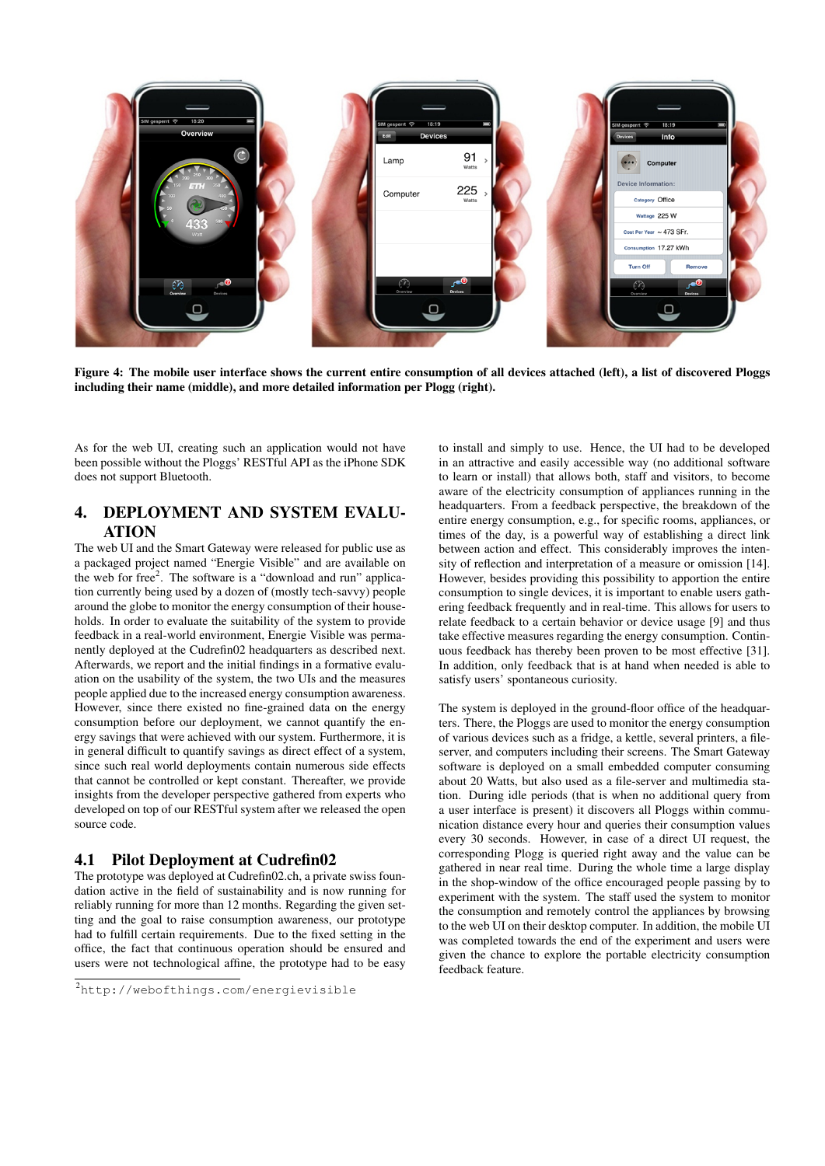

Figure 4: The mobile user interface shows the current entire consumption of all devices attached (left), a list of discovered Ploggs including their name (middle), and more detailed information per Plogg (right).

<span id="page-5-0"></span>As for the web UI, creating such an application would not have been possible without the Ploggs' RESTful API as the iPhone SDK does not support Bluetooth.

# 4. DEPLOYMENT AND SYSTEM EVALU-ATION

The web UI and the Smart Gateway were released for public use as a packaged project named "Energie Visible" and are available on the web for free<sup>[2](#page-5-1)</sup>. The software is a "download and run" application currently being used by a dozen of (mostly tech-savvy) people around the globe to monitor the energy consumption of their households. In order to evaluate the suitability of the system to provide feedback in a real-world environment, Energie Visible was permanently deployed at the Cudrefin02 headquarters as described next. Afterwards, we report and the initial findings in a formative evaluation on the usability of the system, the two UIs and the measures people applied due to the increased energy consumption awareness. However, since there existed no fine-grained data on the energy consumption before our deployment, we cannot quantify the energy savings that were achieved with our system. Furthermore, it is in general difficult to quantify savings as direct effect of a system, since such real world deployments contain numerous side effects that cannot be controlled or kept constant. Thereafter, we provide insights from the developer perspective gathered from experts who developed on top of our RESTful system after we released the open source code.

# 4.1 Pilot Deployment at Cudrefin02

The prototype was deployed at Cudrefin02.ch, a private swiss foundation active in the field of sustainability and is now running for reliably running for more than 12 months. Regarding the given setting and the goal to raise consumption awareness, our prototype had to fulfill certain requirements. Due to the fixed setting in the office, the fact that continuous operation should be ensured and users were not technological affine, the prototype had to be easy

to install and simply to use. Hence, the UI had to be developed in an attractive and easily accessible way (no additional software to learn or install) that allows both, staff and visitors, to become aware of the electricity consumption of appliances running in the headquarters. From a feedback perspective, the breakdown of the entire energy consumption, e.g., for specific rooms, appliances, or times of the day, is a powerful way of establishing a direct link between action and effect. This considerably improves the intensity of reflection and interpretation of a measure or omission [\[14\]](#page-8-6). However, besides providing this possibility to apportion the entire consumption to single devices, it is important to enable users gathering feedback frequently and in real-time. This allows for users to relate feedback to a certain behavior or device usage [\[9\]](#page-8-2) and thus take effective measures regarding the energy consumption. Continuous feedback has thereby been proven to be most effective [\[31\]](#page-8-27). In addition, only feedback that is at hand when needed is able to satisfy users' spontaneous curiosity.

The system is deployed in the ground-floor office of the headquarters. There, the Ploggs are used to monitor the energy consumption of various devices such as a fridge, a kettle, several printers, a fileserver, and computers including their screens. The Smart Gateway software is deployed on a small embedded computer consuming about 20 Watts, but also used as a file-server and multimedia station. During idle periods (that is when no additional query from a user interface is present) it discovers all Ploggs within communication distance every hour and queries their consumption values every 30 seconds. However, in case of a direct UI request, the corresponding Plogg is queried right away and the value can be gathered in near real time. During the whole time a large display in the shop-window of the office encouraged people passing by to experiment with the system. The staff used the system to monitor the consumption and remotely control the appliances by browsing to the web UI on their desktop computer. In addition, the mobile UI was completed towards the end of the experiment and users were given the chance to explore the portable electricity consumption feedback feature.

<span id="page-5-1"></span><sup>2</sup>http://webofthings.com/energievisible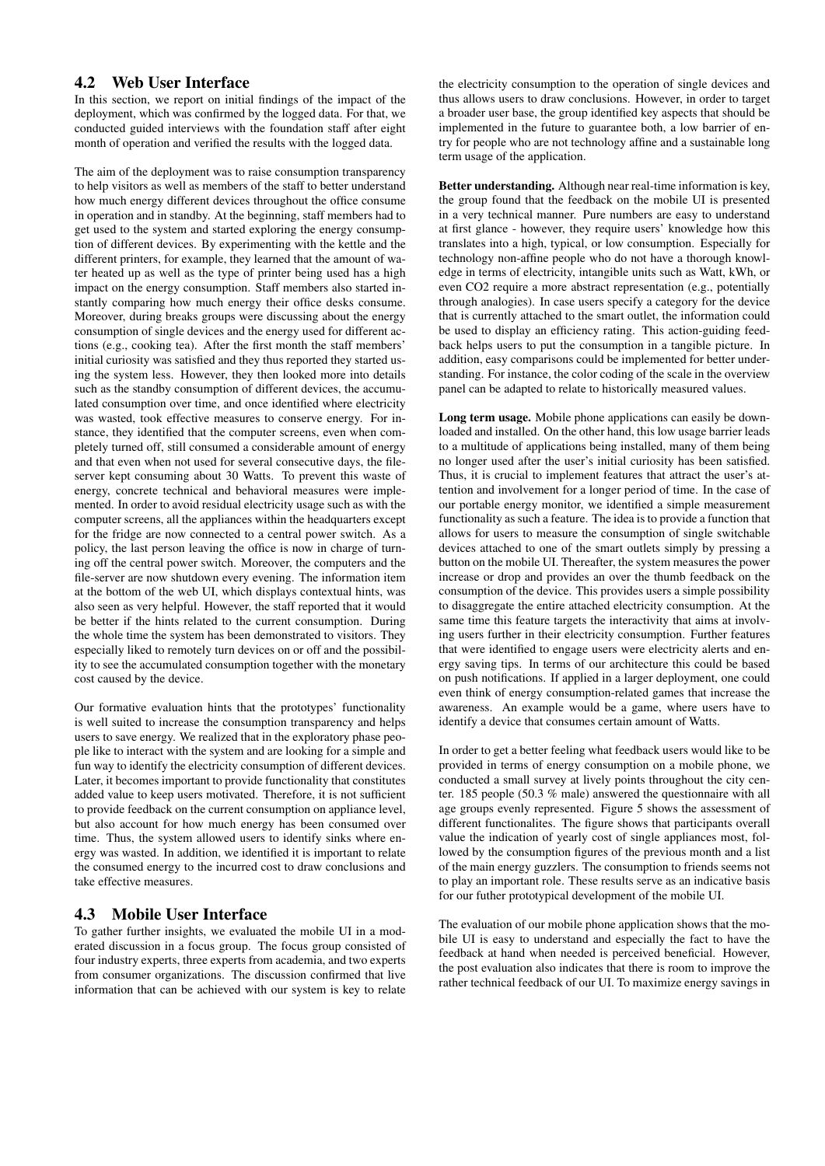# 4.2 Web User Interface

In this section, we report on initial findings of the impact of the deployment, which was confirmed by the logged data. For that, we conducted guided interviews with the foundation staff after eight month of operation and verified the results with the logged data.

The aim of the deployment was to raise consumption transparency to help visitors as well as members of the staff to better understand how much energy different devices throughout the office consume in operation and in standby. At the beginning, staff members had to get used to the system and started exploring the energy consumption of different devices. By experimenting with the kettle and the different printers, for example, they learned that the amount of water heated up as well as the type of printer being used has a high impact on the energy consumption. Staff members also started instantly comparing how much energy their office desks consume. Moreover, during breaks groups were discussing about the energy consumption of single devices and the energy used for different actions (e.g., cooking tea). After the first month the staff members' initial curiosity was satisfied and they thus reported they started using the system less. However, they then looked more into details such as the standby consumption of different devices, the accumulated consumption over time, and once identified where electricity was wasted, took effective measures to conserve energy. For instance, they identified that the computer screens, even when completely turned off, still consumed a considerable amount of energy and that even when not used for several consecutive days, the fileserver kept consuming about 30 Watts. To prevent this waste of energy, concrete technical and behavioral measures were implemented. In order to avoid residual electricity usage such as with the computer screens, all the appliances within the headquarters except for the fridge are now connected to a central power switch. As a policy, the last person leaving the office is now in charge of turning off the central power switch. Moreover, the computers and the file-server are now shutdown every evening. The information item at the bottom of the web UI, which displays contextual hints, was also seen as very helpful. However, the staff reported that it would be better if the hints related to the current consumption. During the whole time the system has been demonstrated to visitors. They especially liked to remotely turn devices on or off and the possibility to see the accumulated consumption together with the monetary cost caused by the device.

Our formative evaluation hints that the prototypes' functionality is well suited to increase the consumption transparency and helps users to save energy. We realized that in the exploratory phase people like to interact with the system and are looking for a simple and fun way to identify the electricity consumption of different devices. Later, it becomes important to provide functionality that constitutes added value to keep users motivated. Therefore, it is not sufficient to provide feedback on the current consumption on appliance level, but also account for how much energy has been consumed over time. Thus, the system allowed users to identify sinks where energy was wasted. In addition, we identified it is important to relate the consumed energy to the incurred cost to draw conclusions and take effective measures.

# 4.3 Mobile User Interface

To gather further insights, we evaluated the mobile UI in a moderated discussion in a focus group. The focus group consisted of four industry experts, three experts from academia, and two experts from consumer organizations. The discussion confirmed that live information that can be achieved with our system is key to relate

the electricity consumption to the operation of single devices and thus allows users to draw conclusions. However, in order to target a broader user base, the group identified key aspects that should be implemented in the future to guarantee both, a low barrier of entry for people who are not technology affine and a sustainable long term usage of the application.

Better understanding. Although near real-time information is key, the group found that the feedback on the mobile UI is presented in a very technical manner. Pure numbers are easy to understand at first glance - however, they require users' knowledge how this translates into a high, typical, or low consumption. Especially for technology non-affine people who do not have a thorough knowledge in terms of electricity, intangible units such as Watt, kWh, or even CO2 require a more abstract representation (e.g., potentially through analogies). In case users specify a category for the device that is currently attached to the smart outlet, the information could be used to display an efficiency rating. This action-guiding feedback helps users to put the consumption in a tangible picture. In addition, easy comparisons could be implemented for better understanding. For instance, the color coding of the scale in the overview panel can be adapted to relate to historically measured values.

Long term usage. Mobile phone applications can easily be downloaded and installed. On the other hand, this low usage barrier leads to a multitude of applications being installed, many of them being no longer used after the user's initial curiosity has been satisfied. Thus, it is crucial to implement features that attract the user's attention and involvement for a longer period of time. In the case of our portable energy monitor, we identified a simple measurement functionality as such a feature. The idea is to provide a function that allows for users to measure the consumption of single switchable devices attached to one of the smart outlets simply by pressing a button on the mobile UI. Thereafter, the system measures the power increase or drop and provides an over the thumb feedback on the consumption of the device. This provides users a simple possibility to disaggregate the entire attached electricity consumption. At the same time this feature targets the interactivity that aims at involving users further in their electricity consumption. Further features that were identified to engage users were electricity alerts and energy saving tips. In terms of our architecture this could be based on push notifications. If applied in a larger deployment, one could even think of energy consumption-related games that increase the awareness. An example would be a game, where users have to identify a device that consumes certain amount of Watts.

In order to get a better feeling what feedback users would like to be provided in terms of energy consumption on a mobile phone, we conducted a small survey at lively points throughout the city center. 185 people (50.3 % male) answered the questionnaire with all age groups evenly represented. Figure [5](#page-7-0) shows the assessment of different functionalites. The figure shows that participants overall value the indication of yearly cost of single appliances most, followed by the consumption figures of the previous month and a list of the main energy guzzlers. The consumption to friends seems not to play an important role. These results serve as an indicative basis for our futher prototypical development of the mobile UI.

The evaluation of our mobile phone application shows that the mobile UI is easy to understand and especially the fact to have the feedback at hand when needed is perceived beneficial. However, the post evaluation also indicates that there is room to improve the rather technical feedback of our UI. To maximize energy savings in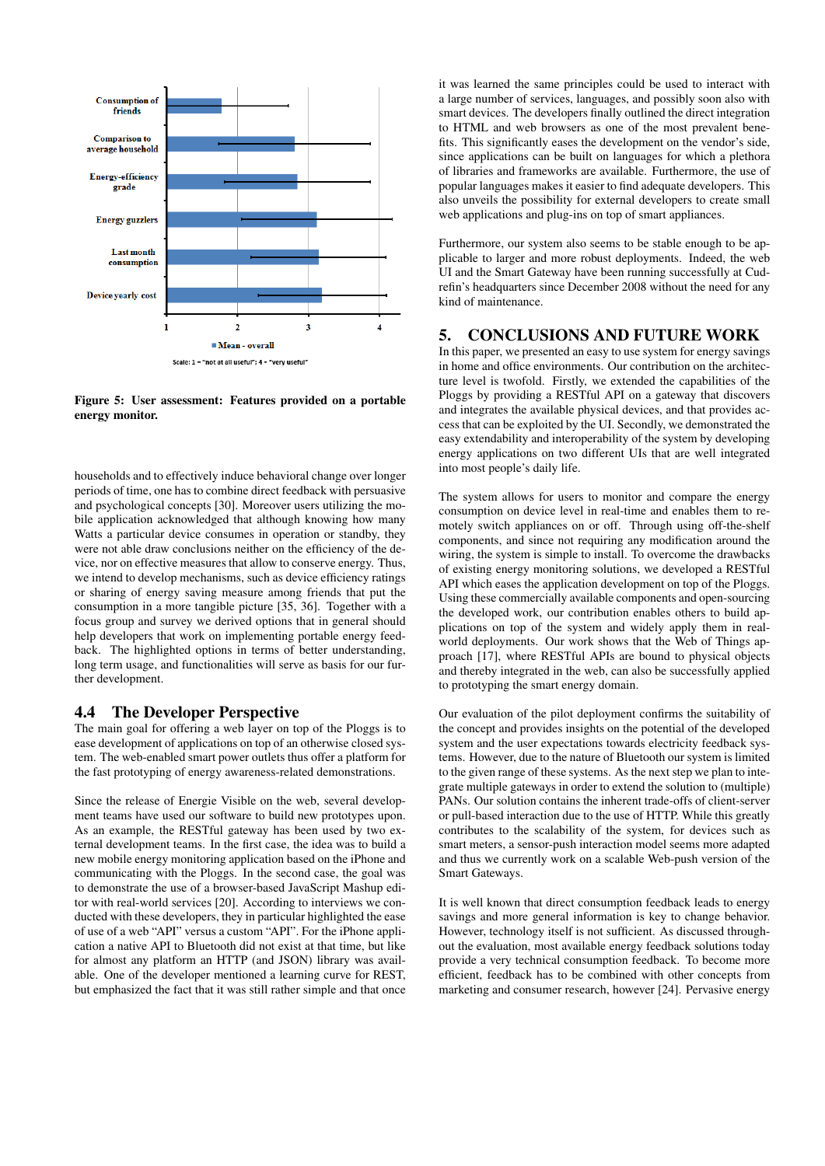

<span id="page-7-0"></span>Figure 5: User assessment: Features provided on a portable energy monitor.

households and to effectively induce behavioral change over longer periods of time, one has to combine direct feedback with persuasive and psychological concepts [\[30\]](#page-8-28). Moreover users utilizing the mobile application acknowledged that although knowing how many Watts a particular device consumes in operation or standby, they were not able draw conclusions neither on the efficiency of the device, nor on effective measures that allow to conserve energy. Thus, we intend to develop mechanisms, such as device efficiency ratings or sharing of energy saving measure among friends that put the consumption in a more tangible picture [\[35,](#page-9-4) [36\]](#page-9-5). Together with a focus group and survey we derived options that in general should help developers that work on implementing portable energy feedback. The highlighted options in terms of better understanding, long term usage, and functionalities will serve as basis for our further development.

### 4.4 The Developer Perspective

The main goal for offering a web layer on top of the Ploggs is to ease development of applications on top of an otherwise closed system. The web-enabled smart power outlets thus offer a platform for the fast prototyping of energy awareness-related demonstrations.

Since the release of Energie Visible on the web, several development teams have used our software to build new prototypes upon. As an example, the RESTful gateway has been used by two external development teams. In the first case, the idea was to build a new mobile energy monitoring application based on the iPhone and communicating with the Ploggs. In the second case, the goal was to demonstrate the use of a browser-based JavaScript Mashup editor with real-world services [\[20\]](#page-8-29). According to interviews we conducted with these developers, they in particular highlighted the ease of use of a web "API" versus a custom "API". For the iPhone application a native API to Bluetooth did not exist at that time, but like for almost any platform an HTTP (and JSON) library was available. One of the developer mentioned a learning curve for REST, but emphasized the fact that it was still rather simple and that once it was learned the same principles could be used to interact with a large number of services, languages, and possibly soon also with smart devices. The developers finally outlined the direct integration to HTML and web browsers as one of the most prevalent benefits. This significantly eases the development on the vendor's side, since applications can be built on languages for which a plethora of libraries and frameworks are available. Furthermore, the use of popular languages makes it easier to find adequate developers. This also unveils the possibility for external developers to create small web applications and plug-ins on top of smart appliances.

Furthermore, our system also seems to be stable enough to be applicable to larger and more robust deployments. Indeed, the web UI and the Smart Gateway have been running successfully at Cudrefin's headquarters since December 2008 without the need for any kind of maintenance.

# 5. CONCLUSIONS AND FUTURE WORK

In this paper, we presented an easy to use system for energy savings in home and office environments. Our contribution on the architecture level is twofold. Firstly, we extended the capabilities of the Ploggs by providing a RESTful API on a gateway that discovers and integrates the available physical devices, and that provides access that can be exploited by the UI. Secondly, we demonstrated the easy extendability and interoperability of the system by developing energy applications on two different UIs that are well integrated into most people's daily life.

The system allows for users to monitor and compare the energy consumption on device level in real-time and enables them to remotely switch appliances on or off. Through using off-the-shelf components, and since not requiring any modification around the wiring, the system is simple to install. To overcome the drawbacks of existing energy monitoring solutions, we developed a RESTful API which eases the application development on top of the Ploggs. Using these commercially available components and open-sourcing the developed work, our contribution enables others to build applications on top of the system and widely apply them in realworld deployments. Our work shows that the Web of Things approach [\[17\]](#page-8-25), where RESTful APIs are bound to physical objects and thereby integrated in the web, can also be successfully applied to prototyping the smart energy domain.

Our evaluation of the pilot deployment confirms the suitability of the concept and provides insights on the potential of the developed system and the user expectations towards electricity feedback systems. However, due to the nature of Bluetooth our system is limited to the given range of these systems. As the next step we plan to integrate multiple gateways in order to extend the solution to (multiple) PANs. Our solution contains the inherent trade-offs of client-server or pull-based interaction due to the use of HTTP. While this greatly contributes to the scalability of the system, for devices such as smart meters, a sensor-push interaction model seems more adapted and thus we currently work on a scalable Web-push version of the Smart Gateways.

It is well known that direct consumption feedback leads to energy savings and more general information is key to change behavior. However, technology itself is not sufficient. As discussed throughout the evaluation, most available energy feedback solutions today provide a very technical consumption feedback. To become more efficient, feedback has to be combined with other concepts from marketing and consumer research, however [\[24\]](#page-8-30). Pervasive energy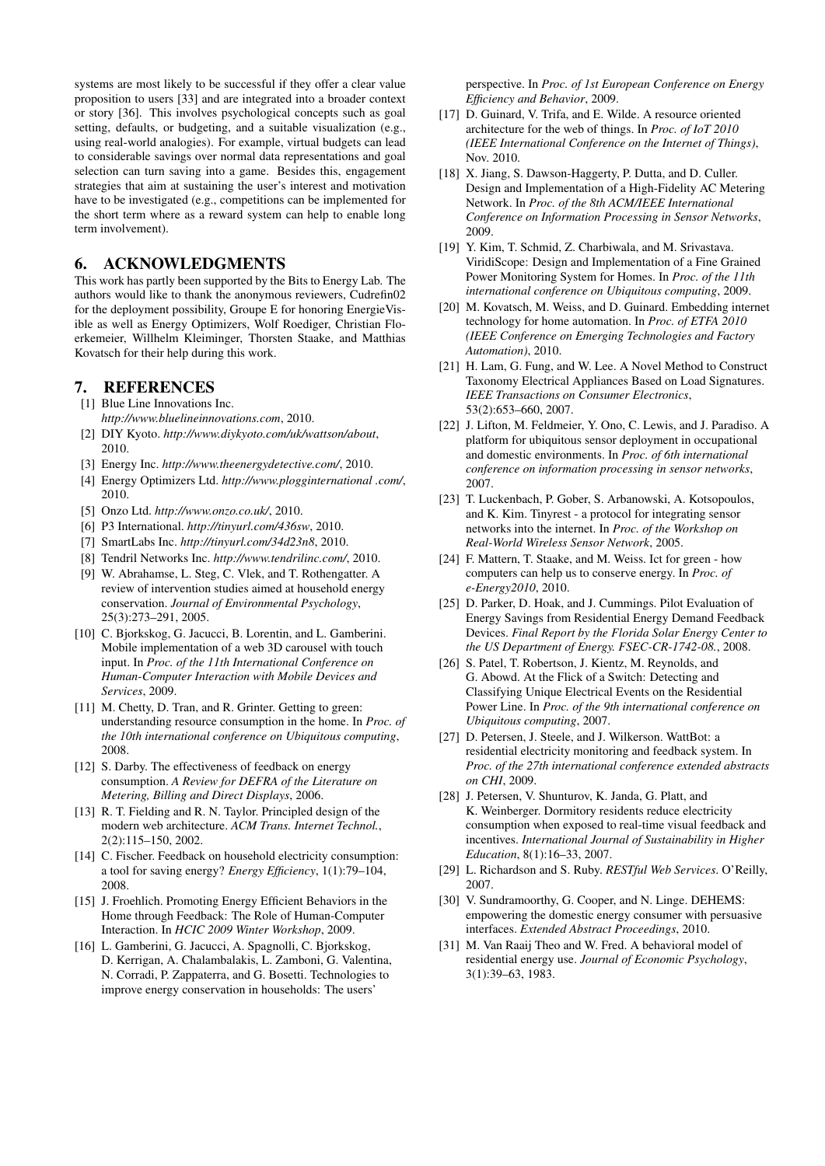systems are most likely to be successful if they offer a clear value proposition to users [\[33\]](#page-9-6) and are integrated into a broader context or story [\[36\]](#page-9-5). This involves psychological concepts such as goal setting, defaults, or budgeting, and a suitable visualization (e.g., using real-world analogies). For example, virtual budgets can lead to considerable savings over normal data representations and goal selection can turn saving into a game. Besides this, engagement strategies that aim at sustaining the user's interest and motivation have to be investigated (e.g., competitions can be implemented for the short term where as a reward system can help to enable long term involvement).

# 6. ACKNOWLEDGMENTS

This work has partly been supported by the Bits to Energy Lab. The authors would like to thank the anonymous reviewers, Cudrefin02 for the deployment possibility, Groupe E for honoring EnergieVisible as well as Energy Optimizers, Wolf Roediger, Christian Floerkemeier, Willhelm Kleiminger, Thorsten Staake, and Matthias Kovatsch for their help during this work.

### 7. REFERENCES

- <span id="page-8-12"></span>[1] Blue Line Innovations Inc. *http://www.bluelineinnovations.com*, 2010.
- <span id="page-8-10"></span>[2] DIY Kyoto. *http://www.diykyoto.com/uk/wattson/about*, 2010.
- <span id="page-8-13"></span>[3] Energy Inc. *http://www.theenergydetective.com/*, 2010.
- <span id="page-8-7"></span>[4] Energy Optimizers Ltd. *http://www.plogginternational .com/*, 2010.
- <span id="page-8-11"></span>[5] Onzo Ltd. *http://www.onzo.co.uk/*, 2010.
- <span id="page-8-18"></span>[6] P3 International. *http://tinyurl.com/436sw*, 2010.
- <span id="page-8-19"></span>[7] SmartLabs Inc. *http://tinyurl.com/34d23n8*, 2010.
- <span id="page-8-20"></span>[8] Tendril Networks Inc. *http://www.tendrilinc.com/*, 2010.
- <span id="page-8-2"></span>[9] W. Abrahamse, L. Steg, C. Vlek, and T. Rothengatter. A review of intervention studies aimed at household energy conservation. *Journal of Environmental Psychology*, 25(3):273–291, 2005.
- <span id="page-8-14"></span>[10] C. Bjorkskog, G. Jacucci, B. Lorentin, and L. Gamberini. Mobile implementation of a web 3D carousel with touch input. In *Proc. of the 11th International Conference on Human-Computer Interaction with Mobile Devices and Services*, 2009.
- <span id="page-8-1"></span>[11] M. Chetty, D. Tran, and R. Grinter. Getting to green: understanding resource consumption in the home. In *Proc. of the 10th international conference on Ubiquitous computing*, 2008.
- <span id="page-8-4"></span>[12] S. Darby. The effectiveness of feedback on energy consumption. *A Review for DEFRA of the Literature on Metering, Billing and Direct Displays*, 2006.
- <span id="page-8-8"></span>[13] R. T. Fielding and R. N. Taylor. Principled design of the modern web architecture. *ACM Trans. Internet Technol.*, 2(2):115–150, 2002.
- <span id="page-8-6"></span>[14] C. Fischer. Feedback on household electricity consumption: a tool for saving energy? *Energy Efficiency*, 1(1):79–104, 2008.
- <span id="page-8-5"></span>[15] J. Froehlich. Promoting Energy Efficient Behaviors in the Home through Feedback: The Role of Human-Computer Interaction. In *HCIC 2009 Winter Workshop*, 2009.
- <span id="page-8-26"></span>[16] L. Gamberini, G. Jacucci, A. Spagnolli, C. Bjorkskog, D. Kerrigan, A. Chalambalakis, L. Zamboni, G. Valentina, N. Corradi, P. Zappaterra, and G. Bosetti. Technologies to improve energy conservation in households: The users'

perspective. In *Proc. of 1st European Conference on Energy Efficiency and Behavior*, 2009.

- <span id="page-8-25"></span>[17] D. Guinard, V. Trifa, and E. Wilde. A resource oriented architecture for the web of things. In *Proc. of IoT 2010 (IEEE International Conference on the Internet of Things)*, Nov. 2010.
- <span id="page-8-22"></span>[18] X. Jiang, S. Dawson-Haggerty, P. Dutta, and D. Culler. Design and Implementation of a High-Fidelity AC Metering Network. In *Proc. of the 8th ACM/IEEE International Conference on Information Processing in Sensor Networks*, 2009.
- <span id="page-8-23"></span>[19] Y. Kim, T. Schmid, Z. Charbiwala, and M. Srivastava. ViridiScope: Design and Implementation of a Fine Grained Power Monitoring System for Homes. In *Proc. of the 11th international conference on Ubiquitous computing*, 2009.
- <span id="page-8-29"></span>[20] M. Kovatsch, M. Weiss, and D. Guinard. Embedding internet technology for home automation. In *Proc. of ETFA 2010 (IEEE Conference on Emerging Technologies and Factory Automation)*, 2010.
- <span id="page-8-16"></span>[21] H. Lam, G. Fung, and W. Lee. A Novel Method to Construct Taxonomy Electrical Appliances Based on Load Signatures. *IEEE Transactions on Consumer Electronics*, 53(2):653–660, 2007.
- <span id="page-8-21"></span>[22] J. Lifton, M. Feldmeier, Y. Ono, C. Lewis, and J. Paradiso. A platform for ubiquitous sensor deployment in occupational and domestic environments. In *Proc. of 6th international conference on information processing in sensor networks*, 2007.
- <span id="page-8-24"></span>[23] T. Luckenbach, P. Gober, S. Arbanowski, A. Kotsopoulos, and K. Kim. Tinyrest - a protocol for integrating sensor networks into the internet. In *Proc. of the Workshop on Real-World Wireless Sensor Network*, 2005.
- <span id="page-8-30"></span>[24] F. Mattern, T. Staake, and M. Weiss. Ict for green - how computers can help us to conserve energy. In *Proc. of e-Energy2010*, 2010.
- <span id="page-8-0"></span>[25] D. Parker, D. Hoak, and J. Cummings. Pilot Evaluation of Energy Savings from Residential Energy Demand Feedback Devices. *Final Report by the Florida Solar Energy Center to the US Department of Energy. FSEC-CR-1742-08.*, 2008.
- <span id="page-8-17"></span>[26] S. Patel, T. Robertson, J. Kientz, M. Reynolds, and G. Abowd. At the Flick of a Switch: Detecting and Classifying Unique Electrical Events on the Residential Power Line. In *Proc. of the 9th international conference on Ubiquitous computing*, 2007.
- <span id="page-8-15"></span>[27] D. Petersen, J. Steele, and J. Wilkerson. WattBot: a residential electricity monitoring and feedback system. In *Proc. of the 27th international conference extended abstracts on CHI*, 2009.
- <span id="page-8-3"></span>[28] J. Petersen, V. Shunturov, K. Janda, G. Platt, and K. Weinberger. Dormitory residents reduce electricity consumption when exposed to real-time visual feedback and incentives. *International Journal of Sustainability in Higher Education*, 8(1):16–33, 2007.
- <span id="page-8-9"></span>[29] L. Richardson and S. Ruby. *RESTful Web Services*. O'Reilly, 2007.
- <span id="page-8-28"></span>[30] V. Sundramoorthy, G. Cooper, and N. Linge. DEHEMS: empowering the domestic energy consumer with persuasive interfaces. *Extended Abstract Proceedings*, 2010.
- <span id="page-8-27"></span>[31] M. Van Raaij Theo and W. Fred. A behavioral model of residential energy use. *Journal of Economic Psychology*, 3(1):39–63, 1983.